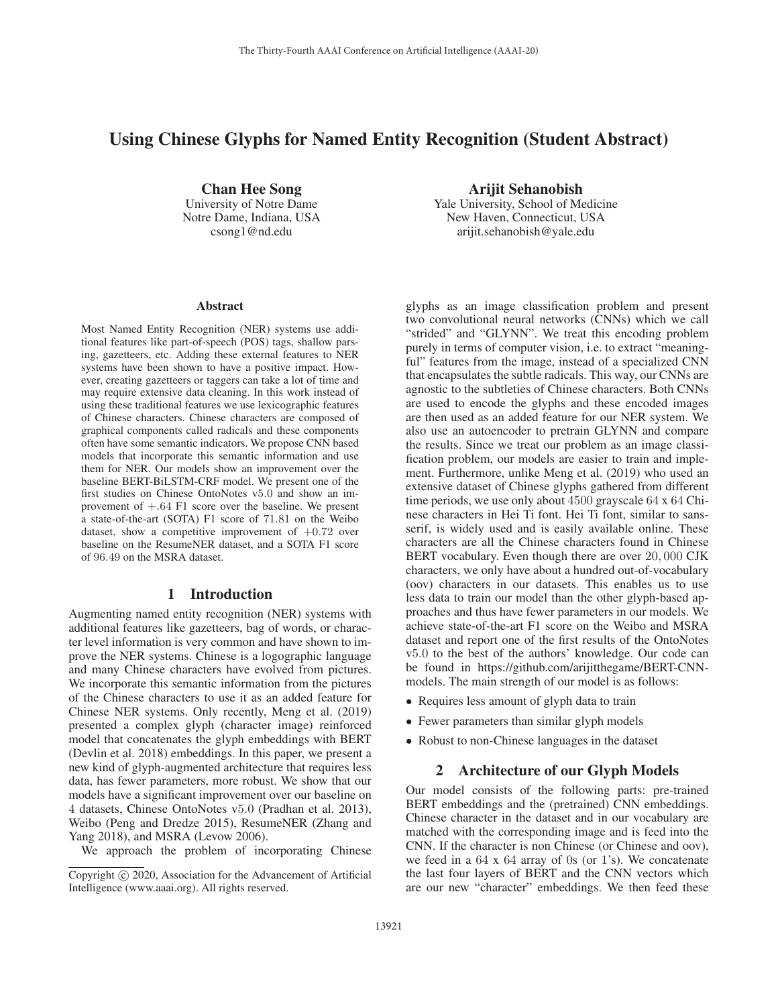# Using Chinese Glyphs for Named Entity Recognition (Student Abstract)

Chan Hee Song University of Notre Dame Notre Dame, Indiana, USA csong1@nd.edu

Arijit Sehanobish

Yale University, School of Medicine New Haven, Connecticut, USA arijit.sehanobish@yale.edu

#### Abstract

Most Named Entity Recognition (NER) systems use additional features like part-of-speech (POS) tags, shallow parsing, gazetteers, etc. Adding these external features to NER systems have been shown to have a positive impact. However, creating gazetteers or taggers can take a lot of time and may require extensive data cleaning. In this work instead of using these traditional features we use lexicographic features of Chinese characters. Chinese characters are composed of graphical components called radicals and these components often have some semantic indicators. We propose CNN based models that incorporate this semantic information and use them for NER. Our models show an improvement over the baseline BERT-BiLSTM-CRF model. We present one of the first studies on Chinese OntoNotes v5.0 and show an improvement of +.64 F1 score over the baseline. We present a state-of-the-art (SOTA) F1 score of 71.81 on the Weibo dataset, show a competitive improvement of  $+0.72$  over baseline on the ResumeNER dataset, and a SOTA F1 score of 96.49 on the MSRA dataset.

## 1 Introduction

Augmenting named entity recognition (NER) systems with additional features like gazetteers, bag of words, or character level information is very common and have shown to improve the NER systems. Chinese is a logographic language and many Chinese characters have evolved from pictures. We incorporate this semantic information from the pictures of the Chinese characters to use it as an added feature for Chinese NER systems. Only recently, Meng et al. (2019) presented a complex glyph (character image) reinforced model that concatenates the glyph embeddings with BERT (Devlin et al. 2018) embeddings. In this paper, we present a new kind of glyph-augmented architecture that requires less data, has fewer parameters, more robust. We show that our models have a significant improvement over our baseline on 4 datasets, Chinese OntoNotes v5.0 (Pradhan et al. 2013), Weibo (Peng and Dredze 2015), ResumeNER (Zhang and Yang 2018), and MSRA (Levow 2006).

We approach the problem of incorporating Chinese

glyphs as an image classification problem and present two convolutional neural networks (CNNs) which we call "strided" and "GLYNN". We treat this encoding problem purely in terms of computer vision, i.e. to extract "meaningful" features from the image, instead of a specialized CNN that encapsulates the subtle radicals. This way, our CNNs are agnostic to the subtleties of Chinese characters. Both CNNs are used to encode the glyphs and these encoded images are then used as an added feature for our NER system. We also use an autoencoder to pretrain GLYNN and compare the results. Since we treat our problem as an image classification problem, our models are easier to train and implement. Furthermore, unlike Meng et al. (2019) who used an extensive dataset of Chinese glyphs gathered from different time periods, we use only about 4500 grayscale 64 x 64 Chinese characters in Hei Ti font. Hei Ti font, similar to sansserif, is widely used and is easily available online. These characters are all the Chinese characters found in Chinese BERT vocabulary. Even though there are over 20, 000 CJK characters, we only have about a hundred out-of-vocabulary (oov) characters in our datasets. This enables us to use less data to train our model than the other glyph-based approaches and thus have fewer parameters in our models. We achieve state-of-the-art F1 score on the Weibo and MSRA dataset and report one of the first results of the OntoNotes v5.0 to the best of the authors' knowledge. Our code can be found in https://github.com/arijitthegame/BERT-CNNmodels. The main strength of our model is as follows:

- Requires less amount of glyph data to train
- Fewer parameters than similar glyph models
- Robust to non-Chinese languages in the dataset

#### 2 Architecture of our Glyph Models

Our model consists of the following parts: pre-trained BERT embeddings and the (pretrained) CNN embeddings. Chinese character in the dataset and in our vocabulary are matched with the corresponding image and is feed into the CNN. If the character is non Chinese (or Chinese and oov), we feed in a 64 x 64 array of 0s (or 1's). We concatenate the last four layers of BERT and the CNN vectors which are our new "character" embeddings. We then feed these

Copyright  $\odot$  2020, Association for the Advancement of Artificial Intelligence (www.aaai.org). All rights reserved.